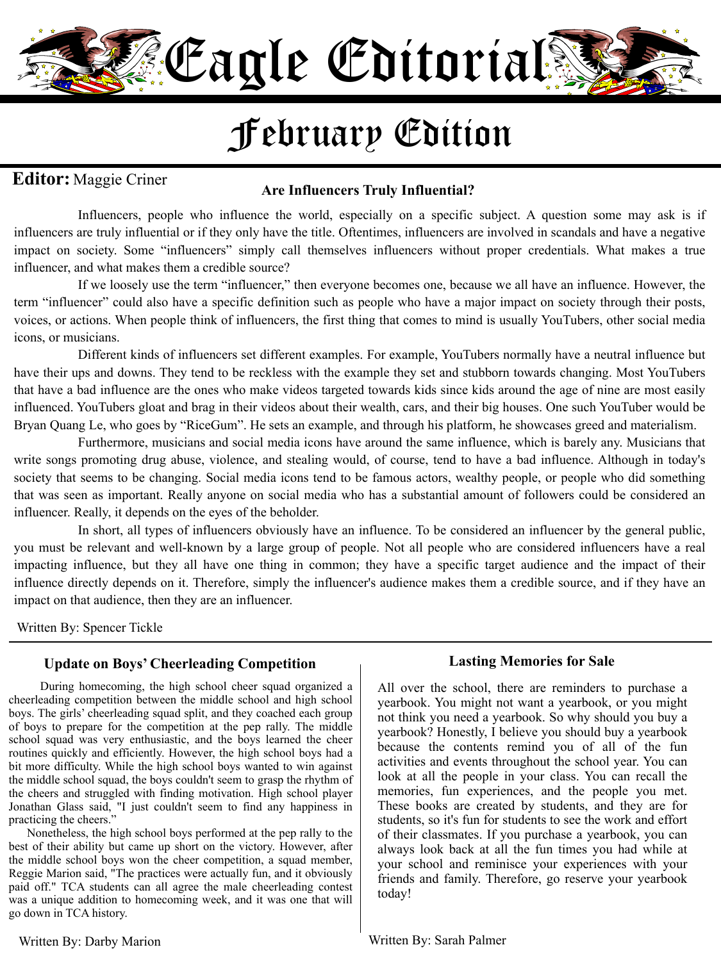

# February Edition

## **Editor:** Maggie Criner

### **Are Influencers Truly Influential?**

Influencers, people who influence the world, especially on a specific subject. A question some may ask is if influencers are truly influential or if they only have the title. Oftentimes, influencers are involved in scandals and have a negative impact on society. Some "influencers" simply call themselves influencers without proper credentials. What makes a true influencer, and what makes them a credible source?

If we loosely use the term "influencer," then everyone becomes one, because we all have an influence. However, the term "influencer" could also have a specific definition such as people who have a major impact on society through their posts, voices, or actions. When people think of influencers, the first thing that comes to mind is usually YouTubers, other social media icons, or musicians.

Different kinds of influencers set different examples. For example, YouTubers normally have a neutral influence but have their ups and downs. They tend to be reckless with the example they set and stubborn towards changing. Most YouTubers that have a bad influence are the ones who make videos targeted towards kids since kids around the age of nine are most easily influenced. YouTubers gloat and brag in their videos about their wealth, cars, and their big houses. One such YouTuber would be Bryan Quang Le, who goes by "RiceGum". He sets an example, and through his platform, he showcases greed and materialism.

Furthermore, musicians and social media icons have around the same influence, which is barely any. Musicians that write songs promoting drug abuse, violence, and stealing would, of course, tend to have a bad influence. Although in today's society that seems to be changing. Social media icons tend to be famous actors, wealthy people, or people who did something that was seen as important. Really anyone on social media who has a substantial amount of followers could be considered an influencer. Really, it depends on the eyes of the beholder.

In short, all types of influencers obviously have an influence. To be considered an influencer by the general public, you must be relevant and well-known by a large group of people. Not all people who are considered influencers have a real impacting influence, but they all have one thing in common; they have a specific target audience and the impact of their influence directly depends on it. Therefore, simply the influencer's audience makes them a credible source, and if they have an impact on that audience, then they are an influencer.

Written By: Spencer Tickle

#### **Update on Boys' Cheerleading Competition**

 During homecoming, the high school cheer squad organized a cheerleading competition between the middle school and high school boys. The girls' cheerleading squad split, and they coached each group of boys to prepare for the competition at the pep rally. The middle school squad was very enthusiastic, and the boys learned the cheer routines quickly and efficiently. However, the high school boys had a bit more difficulty. While the high school boys wanted to win against the middle school squad, the boys couldn't seem to grasp the rhythm of the cheers and struggled with finding motivation. High school player Jonathan Glass said, "I just couldn't seem to find any happiness in practicing the cheers."

 Nonetheless, the high school boys performed at the pep rally to the best of their ability but came up short on the victory. However, after the middle school boys won the cheer competition, a squad member, Reggie Marion said, "The practices were actually fun, and it obviously paid off." TCA students can all agree the male cheerleading contest was a unique addition to homecoming week, and it was one that will go down in TCA history.

#### **Lasting Memories for Sale**

All over the school, there are reminders to purchase a yearbook. You might not want a yearbook, or you might not think you need a yearbook. So why should you buy a yearbook? Honestly, I believe you should buy a yearbook because the contents remind you of all of the fun activities and events throughout the school year. You can look at all the people in your class. You can recall the memories, fun experiences, and the people you met. These books are created by students, and they are for students, so it's fun for students to see the work and effort of their classmates. If you purchase a yearbook, you can always look back at all the fun times you had while at your school and reminisce your experiences with your friends and family. Therefore, go reserve your yearbook today!

Written By: Darby Marion

Written By: Sarah Palmer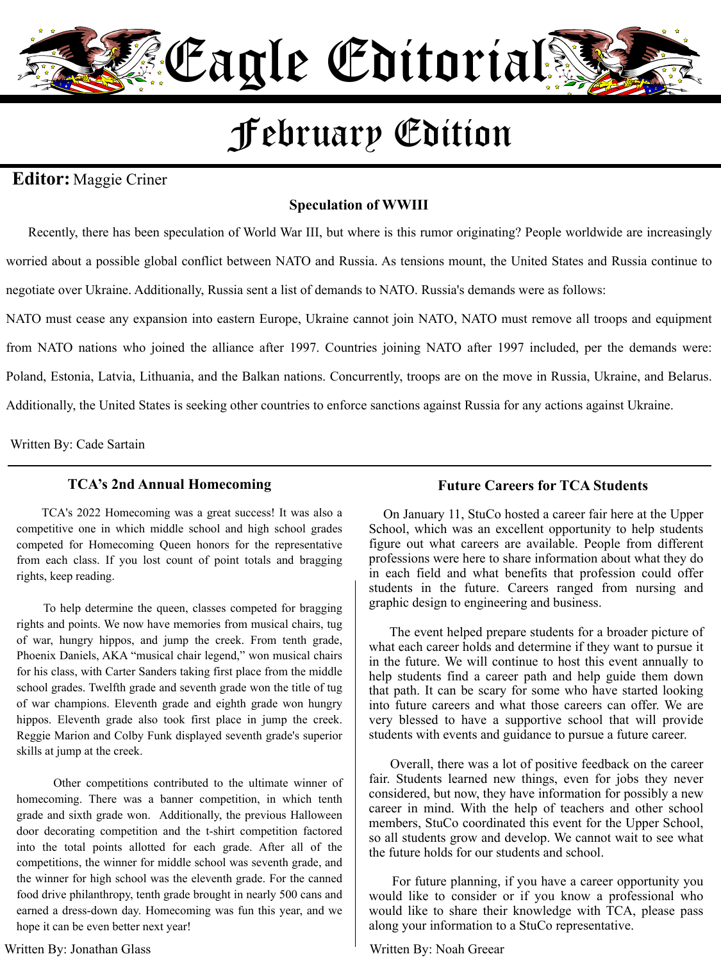

# February Edition

## **Editor:** Maggie Criner

### **Speculation of WWIII**

 Recently, there has been speculation of World War III, but where is this rumor originating? People worldwide are increasingly worried about a possible global conflict between NATO and Russia. As tensions mount, the United States and Russia continue to negotiate over Ukraine. Additionally, Russia sent a list of demands to NATO. Russia's demands were as follows:

NATO must cease any expansion into eastern Europe, Ukraine cannot join NATO, NATO must remove all troops and equipment from NATO nations who joined the alliance after 1997. Countries joining NATO after 1997 included, per the demands were: Poland, Estonia, Latvia, Lithuania, and the Balkan nations. Concurrently, troops are on the move in Russia, Ukraine, and Belarus. Additionally, the United States is seeking other countries to enforce sanctions against Russia for any actions against Ukraine.

Written By: Cade Sartain

#### **TCA's 2nd Annual Homecoming**

 TCA's 2022 Homecoming was a great success! It was also a competitive one in which middle school and high school grades competed for Homecoming Queen honors for the representative from each class. If you lost count of point totals and bragging rights, keep reading.

 To help determine the queen, classes competed for bragging rights and points. We now have memories from musical chairs, tug of war, hungry hippos, and jump the creek. From tenth grade, Phoenix Daniels, AKA "musical chair legend," won musical chairs for his class, with Carter Sanders taking first place from the middle school grades. Twelfth grade and seventh grade won the title of tug of war champions. Eleventh grade and eighth grade won hungry hippos. Eleventh grade also took first place in jump the creek. Reggie Marion and Colby Funk displayed seventh grade's superior skills at jump at the creek.

 Other competitions contributed to the ultimate winner of homecoming. There was a banner competition, in which tenth grade and sixth grade won. Additionally, the previous Halloween door decorating competition and the t-shirt competition factored into the total points allotted for each grade. After all of the competitions, the winner for middle school was seventh grade, and the winner for high school was the eleventh grade. For the canned food drive philanthropy, tenth grade brought in nearly 500 cans and earned a dress-down day. Homecoming was fun this year, and we hope it can be even better next year!

#### Written By: Jonathan Glass

#### **Future Careers for TCA Students**

 On January 11, StuCo hosted a career fair here at the Upper School, which was an excellent opportunity to help students figure out what careers are available. People from different professions were here to share information about what they do in each field and what benefits that profession could offer students in the future. Careers ranged from nursing and graphic design to engineering and business.

 The event helped prepare students for a broader picture of what each career holds and determine if they want to pursue it in the future. We will continue to host this event annually to help students find a career path and help guide them down that path. It can be scary for some who have started looking into future careers and what those careers can offer. We are very blessed to have a supportive school that will provide students with events and guidance to pursue a future career.

 Overall, there was a lot of positive feedback on the career fair. Students learned new things, even for jobs they never considered, but now, they have information for possibly a new career in mind. With the help of teachers and other school members, StuCo coordinated this event for the Upper School, so all students grow and develop. We cannot wait to see what the future holds for our students and school.

 For future planning, if you have a career opportunity you would like to consider or if you know a professional who would like to share their knowledge with TCA, please pass along your information to a StuCo representative.

#### Written By: Noah Greear